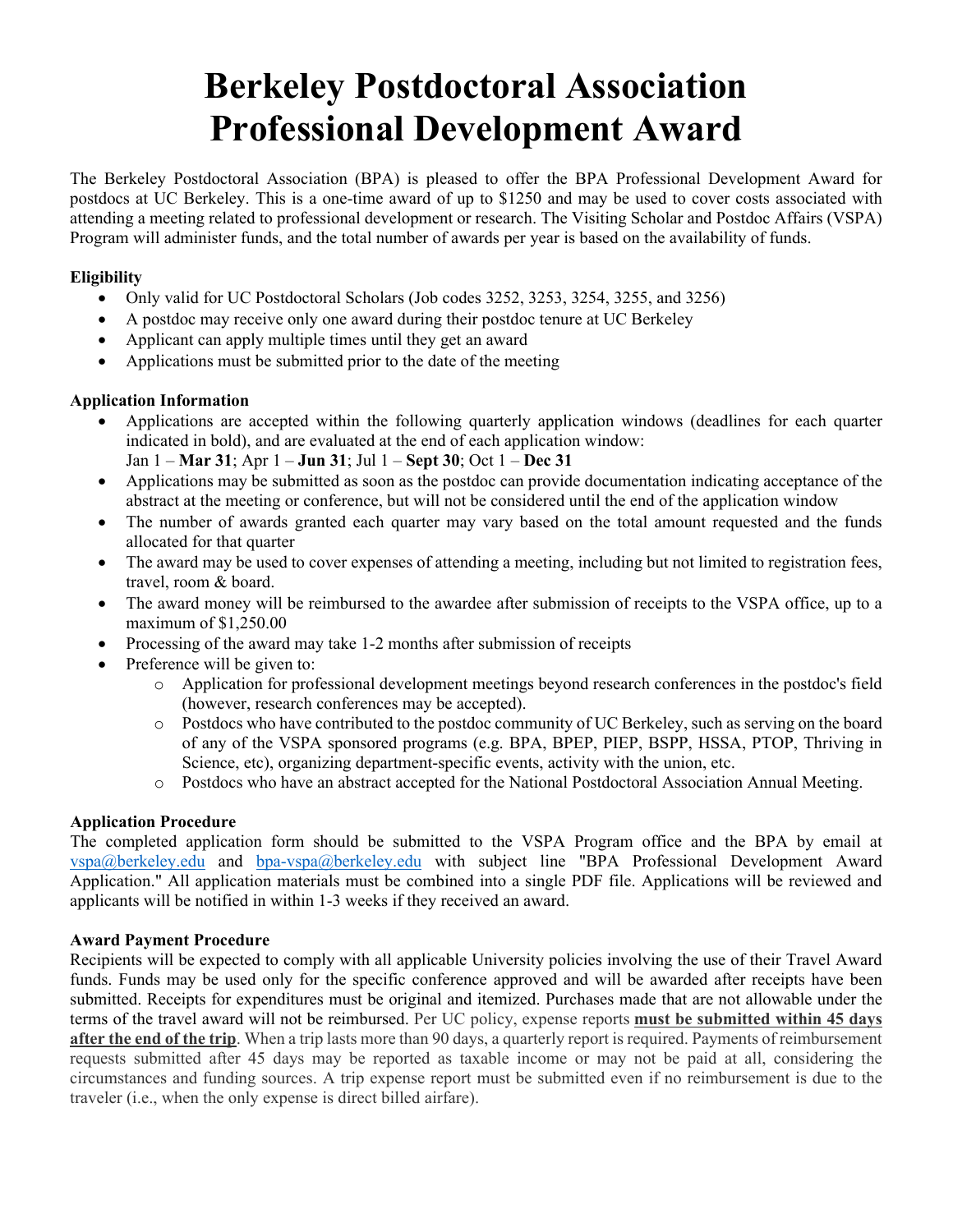# **Berkeley Postdoctoral Association Professional Development Award**

The Berkeley Postdoctoral Association (BPA) is pleased to offer the BPA Professional Development Award for postdocs at UC Berkeley. This is a one-time award of up to \$1250 and may be used to cover costs associated with attending a meeting related to professional development or research. The Visiting Scholar and Postdoc Affairs (VSPA) Program will administer funds, and the total number of awards per year is based on the availability of funds.

#### **Eligibility**

- Only valid for UC Postdoctoral Scholars (Job codes 3252, 3253, 3254, 3255, and 3256)
- A postdoc may receive only one award during their postdoc tenure at UC Berkeley
- Applicant can apply multiple times until they get an award
- Applications must be submitted prior to the date of the meeting

#### **Application Information**

- Applications are accepted within the following quarterly application windows (deadlines for each quarter indicated in bold), and are evaluated at the end of each application window: Jan 1 – **Mar 31**; Apr 1 – **Jun 31**; Jul 1 – **Sept 30**; Oct 1 – **Dec 31**
- Applications may be submitted as soon as the postdoc can provide documentation indicating acceptance of the abstract at the meeting or conference, but will not be considered until the end of the application window
- The number of awards granted each quarter may vary based on the total amount requested and the funds allocated for that quarter
- The award may be used to cover expenses of attending a meeting, including but not limited to registration fees, travel, room & board.
- The award money will be reimbursed to the awardee after submission of receipts to the VSPA office, up to a maximum of \$1,250.00
- Processing of the award may take 1-2 months after submission of receipts
- Preference will be given to:
	- o Application for professional development meetings beyond research conferences in the postdoc's field (however, research conferences may be accepted).
	- o Postdocs who have contributed to the postdoc community of UC Berkeley, such as serving on the board of any of the VSPA sponsored programs (e.g. BPA, BPEP, PIEP, BSPP, HSSA, PTOP, Thriving in Science, etc), organizing department-specific events, activity with the union, etc.
	- o Postdocs who have an abstract accepted for the National Postdoctoral Association Annual Meeting.

## **Application Procedure**

The completed application form should be submitted to the VSPA Program office and the BPA by email at vspa@berkeley.edu and bpa-vspa@berkeley.edu with subject line "BPA Professional Development Award Application." All application materials must be combined into a single PDF file. Applications will be reviewed and applicants will be notified in within 1-3 weeks if they received an award.

## **Award Payment Procedure**

Recipients will be expected to comply with all applicable University policies involving the use of their Travel Award funds. Funds may be used only for the specific conference approved and will be awarded after receipts have been submitted. Receipts for expenditures must be original and itemized. Purchases made that are not allowable under the terms of the travel award will not be reimbursed. Per UC policy, expense reports **must be submitted within 45 days**  after the end of the trip. When a trip lasts more than 90 days, a quarterly report is required. Payments of reimbursement requests submitted after 45 days may be reported as taxable income or may not be paid at all, considering the circumstances and funding sources. A trip expense report must be submitted even if no reimbursement is due to the traveler (i.e., when the only expense is direct billed airfare).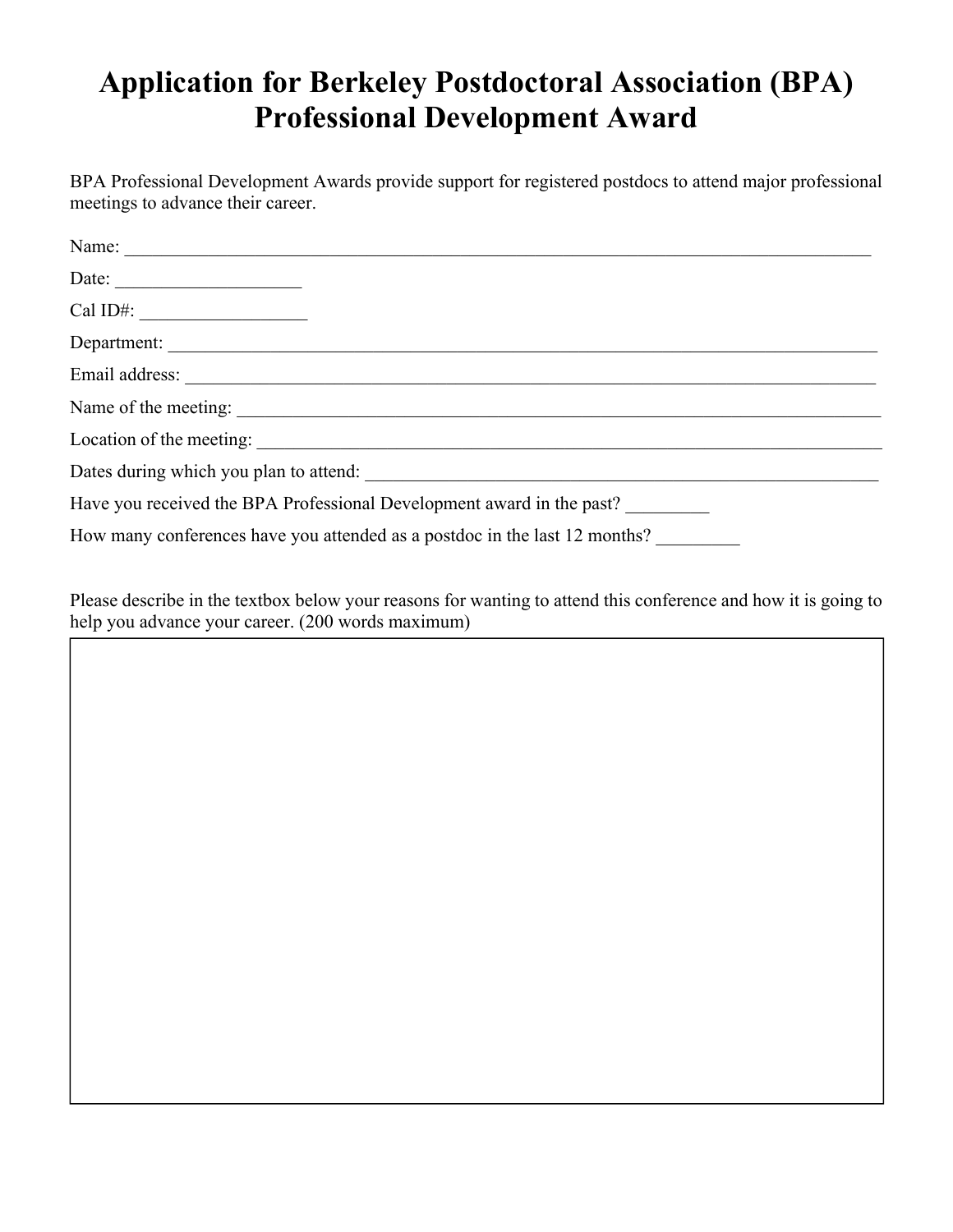# **Application for Berkeley Postdoctoral Association (BPA) Professional Development Award**

BPA Professional Development Awards provide support for registered postdocs to attend major professional meetings to advance their career.

| Date: $\qquad \qquad$                                                      |
|----------------------------------------------------------------------------|
| Cal ID#: $\_\_\_\_\_\_\_\_\_\_\_\_\_\_\_\_\_\_$                            |
| Department:                                                                |
|                                                                            |
| Name of the meeting:                                                       |
| Location of the meeting:                                                   |
|                                                                            |
| Have you received the BPA Professional Development award in the past?      |
| How many conferences have you attended as a postdoc in the last 12 months? |

Please describe in the textbox below your reasons for wanting to attend this conference and how it is going to help you advance your career. (200 words maximum)